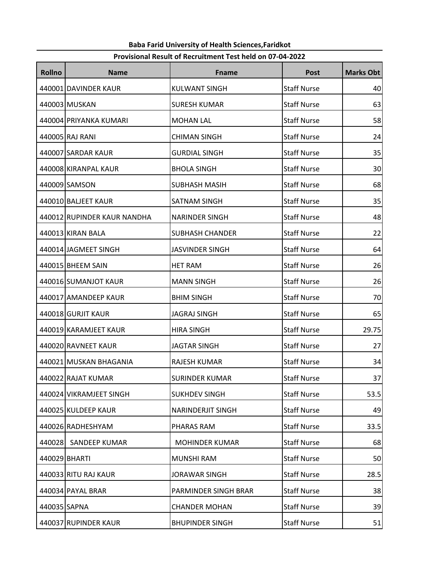# Rollno | Name | Fname | Post | Marks Obt 440001 DAVINDER KAUR KULWANT SINGH Staff Nurse 40 440003 MUSKAN SURESH KUMAR Staff Nurse 63 440004 PRIYANKA KUMARI MOHAN LAL NI Staff Nurse National Staff Nurse S8 440005 RAJ RANI CHIMAN SINGH Staff Nurse 24 440007 SARDAR KAUR GURDIAL SINGH Staff Nurse 35 440008 KIRANPAL KAUR BHOLA SINGH Staff Nurse 30 440009 SAMSON SUBHASH MASIH STAFF NURSE SAMSON STATES SOME SUBHASH MASIH STAFF STAFF NURSE SAMS 440010 BALJEET KAUR SATNAM SINGH SATNAM SINGH Staff Nurse 25 440012 RUPINDER KAUR NANDHA NARINDER SINGH STAFF Nurse 1 48 440013 KIRAN BALA SUBHASH CHANDER Staff Nurse 22 440014 JAGMEET SINGH JASVINDER SINGH STAFF STAFF Nurse 1 64 440015 BHEEM SAIN **HET RAM** Staff Nurse 26 440016 SUMANJOT KAUR MANN SINGH STATES STAFF Nurse 26 440017 AMANDEEP KAUR BHIM SINGH STAGH STAFF Nurse RESERVED 10 440018 GURJIT KAUR JAGRAJ SINGH Staff Nurse 65 440019 KARAMJEET KAUR HIRA SINGH STATES STAFF Nurse 29.75 440020 RAVNEET KAUR JAGTAR SINGH Staff Nurse 27 440021 MUSKAN BHAGANIA RAJESH KUMAR Staff Nurse 34 440022 RAJAT KUMAR SURINDER KUMAR STAFF STAff Nurse National ASS (Staff Nurse National Assembly of the State S 440024 VIKRAMJEET SINGH SUKHDEV SINGH STATE STAFF Nurse The S3.5 440025 KULDEEP KAUR NARINDERJIT SINGH STAFF NURSE STAFF ASSAULDEEP KAUR 440026 RADHESHYAM PHARAS RAM Staff Nurse Nurse 33.5 440028 SANDEEP KUMAR THE MOHINDER KUMAR Staff Nurse Theory 68 440029 BHARTI MUNSHI RAM Staff Nurse 50 440033 RITU RAJ KAUR JORAWAR SINGH Staff Nurse 28.5 440034 PAYAL BRAR PARMINDER SINGH BRAR Staff Nurse | 38 440035 SAPNA CHANDER MOHAN Staff Nurse 29 440037 RUPINDER KAUR BHUPINDER SINGH Staff Nurse | 51

## Baba Farid University of Health Sciences,Faridkot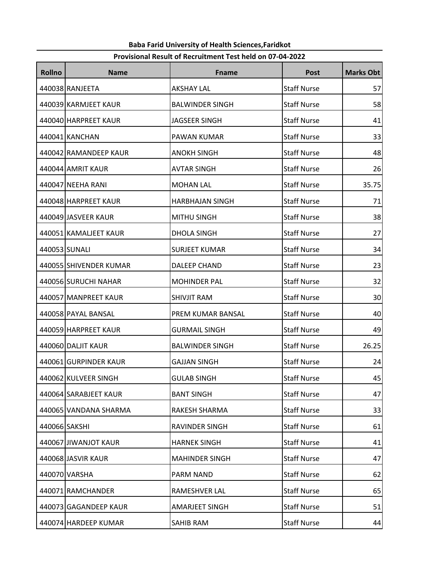# Rollno | Name | Fname | Post | Marks Obt 440038 RANJEETA AKSHAY LAL Staff Nurse 57 440039 KARMJEET KAUR BALWINDER SINGH Staff Nurse 58 440040 HARPREET KAUR JAGSEER SINGH Staff Nurse 41 440041 KANCHAN PAWAN KUMAR Staff Nurse 233 440042 RAMANDEEP KAUR ANOKH SINGH SINGH SING STAFF Nurse ASS 440044 AMRIT KAUR AVTAR SINGH Staff Nurse 26 440047 NEEHA RANI MOHAN LAL Staff Nurse 35.75 440048 HARPREET KAUR HARBHAJAN SINGH STAFF Staff Nurse Nurse 21 440049 JASVEER KAUR MITHU SINGH STATE STAff Nurse National ASSASS SET STATES IN STATE STATE STATES IN STATE ST 440051 KAMALJEET KAUR **DHOLA SINGH** Staff Nurse 27 440053 SUNALI SURJEET KUMAR Staff Nurse | 34 440055 SHIVENDER KUMAR DALEEP CHAND Staff Nurse 23 440056 SURUCHI NAHAR MOHINDER PAL Staff Nurse Nurse 32 440057 MANPREET KAUR SHIVJIT RAM SHIVIT RAM STAFF NURSE SHIVLE SHIVJIT RAM STAFF NURSE SHIVLE SHIVLE SHIVLE SH 440058 PAYAL BANSAL PREM KUMAR BANSAL Staff Nurse 1 40 440059 HARPREET KAUR GURMAIL SINGH STAFF STAFF Nurse Age 49 440060 DALJIT KAUR BALWINDER SINGH Staff Nurse 26.25 440061 GURPINDER KAUR GAJJAN SINGH STAFF STAFF Nurse National Staff Nurse National Staff Nurse National Staff Nurse Sta 440062 KULVEER SINGH GULAB SINGH Staff Nurse 45 440064 SARABJEET KAUR BANT SINGH STAFF STAFF STAFF STAFF STAFF STAFF STAFF STAFF STAFF STAFF STAFF STAFF STAFF 440065 VANDANA SHARMA RAKESH SHARMA STAFF NURSE SHARMA SHARMA STAFF SHARMA 440066 SAKSHI RAVINDER SINGH STAFF RESERVES STAFF STAGE STAGE STAGE STAGE STAGE STAFF AND STAFF STAFF STAGE ST 440067 JIWANJOT KAUR HARNEK SINGH Staff Nurse 41 440068 JASVIR KAUR MAHINDER SINGH Staff Nurse 47 440070 VARSHA PARM NAND Staff Nurse 2 440071 RAMCHANDER RAMESHVER LAL Staff Nurse | 65 440073 GAGANDEEP KAUR AMARJEET SINGH STATES STAFF Nurse The STATES STATES IN STATES IN STATES IN STA 440074 HARDEEP KUMAR SAHIB RAM SAHIB RAM STAFF NURSE SAHIB RAM STAFF NURSE SAHIB RAM STAFF NURSE SAHIB RAM STA

### Baba Farid University of Health Sciences,Faridkot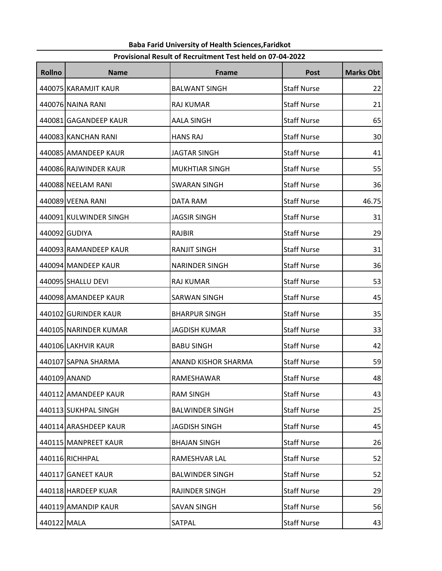# Rollno | Name | Fname | Post | Marks Obt 440075 KARAMJIT KAUR BALWANT SINGH Staff Nurse 22 440076 NAINA RANI RAJ KUMAR Staff Nurse 21 440081 GAGANDEEP KAUR AALA SINGH STATES STAFF Nurse ASSESSED FOR STATE STATES IN STATES STATES IN ST 440083 KANCHAN RANI HANS RAJ Staff Nurse 30 440085 AMANDEEP KAUR **ALLA SINGH** JAGTAR SINGH STATES STAFF Nurse All Staff Nurse 440086 RAJWINDER KAUR MUKHTIAR SINGH STAFF STAFF Nurse National Staff Nurse National State State St 440088 NEELAM RANI SWARAN SINGH Staff Nurse 36 440089 VEENA RANI DATA RAM Staff Nurse 46.75 440091 KULWINDER SINGH JAGSIR SINGH STATES STAFF Nurse 21 440092 GUDIYA RAJBIR STATE STAFF Nurse 29 440093 RAMANDEEP KAUR RANJIT SINGH STATES STAFF Nurse 21 440094 MANDEEP KAUR NARINDER SINGH STAFF STAFF STAFF STAGE STAGE STAGE STAGE STAGE STAGE STAGE STAFF STAGE STA 440095 SHALLU DEVI RAJ KUMAR Staff Nurse 53 440098 AMANDEEP KAUR SARWAN SINGH SARWAN SINGH STAFF STAFF STAFF STATES ASSEMBLY A STATE STATES AND A 45 440102 GURINDER KAUR BHARPUR SINGH Staff Nurse 35 440105 NARINDER KUMAR JJAGDISH KUMAR STAFF STAff Nurse Naring Staff Nurse Nari 440106 LAKHVIR KAUR BABU SINGH Staff Nurse 42 440107 SAPNA SHARMA ANAND KISHOR SHARMA Staff Nurse 59 440109 ANAND RAMESHAWAR Staff Nurse 28 440112 AMANDEEP KAUR RAM SINGH STATES STAFF NURSE STATES AND STAFF NURSE ASSEMBLY A STATES AND RESERVE TO A ST 440113 SUKHPAL SINGH BALWINDER SINGH Staff Nurse 25 440114 ARASHDEEP KAUR JAGDISH SINGH Staff Nurse 45 440115 MANPREET KAUR BHAJAN SINGH Staff Nurse 26 440116 RICHHPAL RAMESHVAR LAL Staff Nurse 1 52 440117 GANEET KAUR **BALWINDER SINGH** Staff Nurse | 52 440118 HARDEEP KUAR RAJINDER SINGH STAFF STAFF Nurse 29 440119 AMANDIP KAUR SAVAN SINGH Staff Nurse 56 440122 MALA SATPAL Staff Nurse 43

### Baba Farid University of Health Sciences,Faridkot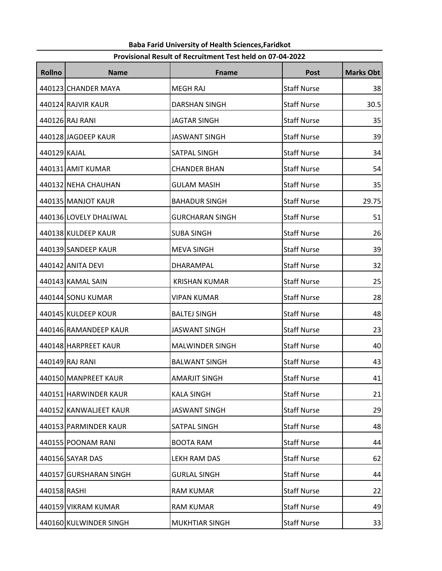|               |                        | Provisional Result of Recruitment Test neid on 07-04-2022 |                    |                  |
|---------------|------------------------|-----------------------------------------------------------|--------------------|------------------|
| <b>Rollno</b> | <b>Name</b>            | <b>Fname</b>                                              | <b>Post</b>        | <b>Marks Obt</b> |
|               | 440123 CHANDER MAYA    | <b>MEGH RAJ</b>                                           | <b>Staff Nurse</b> | 38               |
|               | 440124 RAJVIR KAUR     | DARSHAN SINGH                                             | <b>Staff Nurse</b> | 30.5             |
|               | 440126 RAJ RANI        | <b>JAGTAR SINGH</b>                                       | <b>Staff Nurse</b> | 35               |
|               | 440128 JAGDEEP KAUR    | <b>JASWANT SINGH</b>                                      | <b>Staff Nurse</b> | 39               |
| 440129 KAJAL  |                        | <b>SATPAL SINGH</b>                                       | <b>Staff Nurse</b> | 34               |
|               | 440131 AMIT KUMAR      | <b>CHANDER BHAN</b>                                       | <b>Staff Nurse</b> | 54               |
|               | 440132 NEHA CHAUHAN    | <b>GULAM MASIH</b>                                        | <b>Staff Nurse</b> | 35               |
|               | 440135 MANJOT KAUR     | <b>BAHADUR SINGH</b>                                      | <b>Staff Nurse</b> | 29.75            |
|               | 440136 LOVELY DHALIWAL | <b>GURCHARAN SINGH</b>                                    | <b>Staff Nurse</b> | 51               |
|               | 440138 KULDEEP KAUR    | <b>SUBA SINGH</b>                                         | <b>Staff Nurse</b> | 26               |
|               | 440139 SANDEEP KAUR    | <b>MEVA SINGH</b>                                         | <b>Staff Nurse</b> | 39               |
|               | 440142 ANITA DEVI      | DHARAMPAL                                                 | <b>Staff Nurse</b> | 32               |
|               | 440143 KAMAL SAIN      | <b>KRISHAN KUMAR</b>                                      | <b>Staff Nurse</b> | 25               |
|               | 440144 SONU KUMAR      | VIPAN KUMAR                                               | <b>Staff Nurse</b> | 28               |
|               | 440145 KULDEEP KOUR    | <b>BALTEJ SINGH</b>                                       | <b>Staff Nurse</b> | 48               |
|               | 440146 RAMANDEEP KAUR  | <b>JASWANT SINGH</b>                                      | <b>Staff Nurse</b> | 23               |
|               | 440148 HARPREET KAUR   | <b>MALWINDER SINGH</b>                                    | <b>Staff Nurse</b> | 40               |
|               | 440149 RAJ RANI        | <b>BALWANT SINGH</b>                                      | <b>Staff Nurse</b> | 43               |
|               | 440150 MANPREET KAUR   | <b>AMARJIT SINGH</b>                                      | <b>Staff Nurse</b> | 41               |
|               | 440151 HARWINDER KAUR  | KALA SINGH                                                | <b>Staff Nurse</b> | 21               |
|               | 440152 KANWALJEET KAUR | <b>JASWANT SINGH</b>                                      | <b>Staff Nurse</b> | 29               |
|               | 440153 PARMINDER KAUR  | <b>SATPAL SINGH</b>                                       | <b>Staff Nurse</b> | 48               |
|               | 440155 POONAM RANI     | <b>BOOTA RAM</b>                                          | <b>Staff Nurse</b> | 44               |
|               | 440156 SAYAR DAS       | <b>LEKH RAM DAS</b>                                       | <b>Staff Nurse</b> | 62               |
|               | 440157 GURSHARAN SINGH | <b>GURLAL SINGH</b>                                       | <b>Staff Nurse</b> | 44               |
| 440158 RASHI  |                        | <b>RAM KUMAR</b>                                          | <b>Staff Nurse</b> | 22               |
|               | 440159 VIKRAM KUMAR    | <b>RAM KUMAR</b>                                          | <b>Staff Nurse</b> | 49               |
|               | 440160 KULWINDER SINGH | <b>MUKHTIAR SINGH</b>                                     | <b>Staff Nurse</b> | 33               |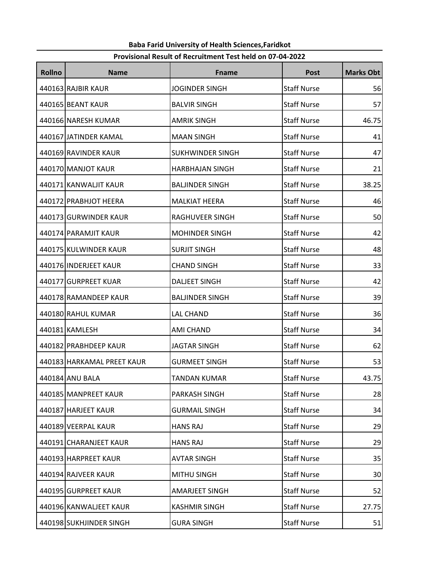# Rollno | Name | Fname | Post | Marks Obt 440163 RAJBIR KAUR JOGINDER SINGH Staff Nurse 56 440165 BEANT KAUR BALVIR SINGH Staff Nurse 57 440166 NARESH KUMAR AMRIK SINGH Staff Nurse 46.75 440167 JATINDER KAMAL MAAN SINGH STATES STAFF NURSE NEWSTAFF AT A 41 440169 RAVINDER KAUR SUKHWINDER SINGH STAFF SING STAFF STAFF STAFF STATES AT A 440170 MANJOT KAUR HARBHAJAN SINGH Staff Nurse 21 440171 KANWALJIT KAUR BALJINDER SINGH Staff Nurse 38.25 440172 PRABHJOT HEERA MALKIAT HEERA Staff Nurse | 46 440173 GURWINDER KAUR RAGHUVEER SINGH STAFF STAFF Nurse Theory STAGHUVEER SINGH 440174 PARAMJIT KAUR MOHINDER SINGH STAFF STAFF Nurse 1 42 440175 KULWINDER KAUR SURJIT SINGH SURJIT SINGH STAFF Nurse | 48 440176 INDERJEET KAUR CHAND SINGH STATES STAFF Nurse 23 440177 GURPREET KUAR DALJEET SINGH STAFF NURSE STAFF NURSE STAGE SINGH 440178 RAMANDEEP KAUR BALJINDER SINGH STAFF STAFF Nurse 1 39 440180 RAHUL KUMAR LAL CHAND Staff Nurse Nurse 36 440181 KAMLESH AMI CHAND Staff Nurse 24 440182 PRABHDEEP KAUR JAGTAR SINGH Staff Nurse 62 440183 HARKAMAL PREET KAUR GURMEET SINGH Staff Nurse | 53 440184 ANU BALA TANDAN KUMAR Staff Nurse 23.75 440185 MANPREET KAUR PARKASH SINGH STATES STAFF Nurse 28 440187 | HARJEET KAUR | GURMAIL SINGH | Staff Nurse | 34 440189 VEERPAL KAUR HANS RAJ Staff Nurse 29 440191 CHARANJEET KAUR HANS RAJ STAFF NURSE STAFF NURSE 29 440193 HARPREET KAUR AVTAR SINGH Staff Nurse 35 440194 RAJVEER KAUR MITHU SINGH STATES SOMETHING STAFF NURSE SOMETHING SOMETHING SOMETHING SOMETHING SOMETHING 440195 GURPREET KAUR AMARJEET SINGH Staff Nurse 52 440196 KANWALJEET KAUR KASHMIR SINGH STATE STAFF Nurse 27.75 440198 SUKHJINDER SINGH GURA SINGH STATES STAGES STAGES AND STATES STATES IN STAGES STATES STAGES STA

### Baba Farid University of Health Sciences,Faridkot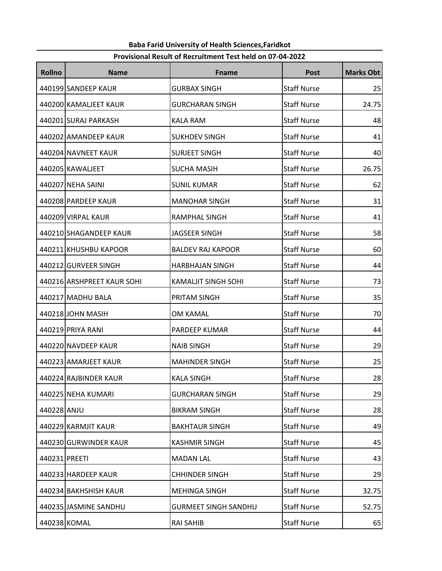# Rollno | Name | Fname | Post | Marks Obt 440199 SANDEEP KAUR GURBAX SINGH Staff Nurse 25 440200 KAMALJEET KAUR GURCHARAN SINGH Staff Nurse 24.75 440201 SURAJ PARKASH KALA RAM Staff Nurse  $\begin{array}{ccc} | & 48 \end{array}$ 440202 AMANDEEP KAUR SUKHDEV SINGH STAFF STAFF Nurse AT 41 440204 NAVNEET KAUR SURJEET SINGH SURJEET SINGH STAFF Nurse 20 Staff Nurse 440205 KAWALJEET SUCHA MASIH Staff Nurse 26.75 440207 NEHA SAINI SUNIL KUMAR Staff Nurse 62 440208 PARDEEP KAUR MANOHAR SINGH STAFF STAFF Nurse 21 440209 VIRPAL KAUR RAMPHAL SINGH Staff Nurse 41 440210 SHAGANDEEP KAUR JAGSEER SINGH STAFF STAff Nurse The STAGS STATE STATE STATE STATE STATE STATE STATE STA 440211 KHUSHBU KAPOOR BALDEV RAJ KAPOOR Staff Nurse Raj Kapoor Staff Nurse Assembly 440212 GURVEER SINGH **HARBHAJAN SINGH** SINGH Staff Nurse 144 440216 ARSHPREET KAUR SOHI KAMALJIT SINGH SOHI Staff Nurse | 73 440217 MADHU BALA PRITAM SINGH Staff Nurse 35 440218 JOHN MASIH **OM KAMAL** Staff Nurse 1 30 440219 PRIYA RANI PARDEEP KUMAR Staff Nurse 44 440220 NAVDEEP KAUR NAIB SINGH STATES STAFF NURSE STATES IN A STATE STATES IN A STATES STATES IN A STATES STAT 440223 AMARJEET KAUR MAHINDER SINGH STAFF SINGH STAFF NURSE STATES IN STAFF NURSE STATES 440224 RAJBINDER KAUR KALA SINGH Staff Nurse 28 440225 NEHA KUMARI GURCHARAN SINGH Staff Nurse 29 440228 ANJU BIKRAM SINGH Staff Nurse 28 440229 KARMJIT KAUR BAKHTAUR SINGH Staff Nurse 49 440230 GURWINDER KAUR KASHMIR SINGH STATE STAFF Nurse ASSAUR AT A 45 440231 PREETI MADAN LAL Staff Nurse 43 440233 HARDEEP KAUR CHHINDER SINGH Staff Nurse 29 440234 BAKHSHISH KAUR MEHINGA SINGH STAFF STAFF Nurse 1 32.75 440235 JASMINE SANDHU GURMEET SINGH SANDHU Staff Nurse 52.75 440238 KOMAL RAI SAHIB SAHIB Staff Nurse Nurse S5

### Baba Farid University of Health Sciences,Faridkot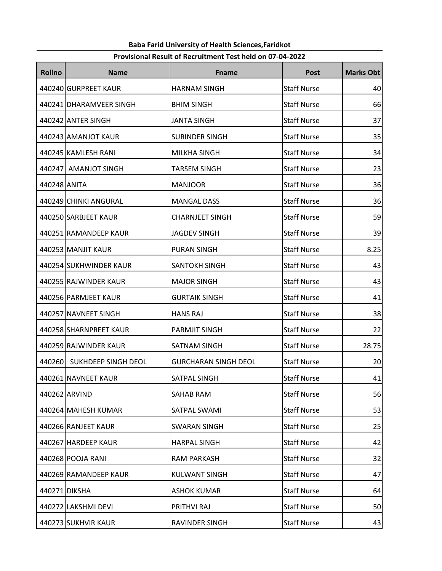## Baba Farid University of Health Sciences,Faridkot Provisional Result of Recruitment Test held on 07-04-2022 T

٦

Г

and the state of the

| <b>Rollno</b> | <b>Name</b>             | <b>Fname</b>                | <b>Post</b>        | <b>Marks Obt</b> |
|---------------|-------------------------|-----------------------------|--------------------|------------------|
|               | 440240 GURPREET KAUR    | <b>HARNAM SINGH</b>         | <b>Staff Nurse</b> | 40               |
|               | 440241 DHARAMVEER SINGH | <b>BHIM SINGH</b>           | <b>Staff Nurse</b> | 66               |
|               | 440242 ANTER SINGH      | <b>JANTA SINGH</b>          | <b>Staff Nurse</b> | 37               |
|               | 440243 AMANJOT KAUR     | SURINDER SINGH              | <b>Staff Nurse</b> | 35               |
|               | 440245 KAMLESH RANI     | MILKHA SINGH                | <b>Staff Nurse</b> | 34               |
|               | 440247 AMANJOT SINGH    | <b>TARSEM SINGH</b>         | <b>Staff Nurse</b> | 23               |
| 440248 ANITA  |                         | <b>MANJOOR</b>              | <b>Staff Nurse</b> | 36               |
|               | 440249 CHINKI ANGURAL   | MANGAL DASS                 | <b>Staff Nurse</b> | 36               |
|               | 440250 SARBJEET KAUR    | <b>CHARNJEET SINGH</b>      | <b>Staff Nurse</b> | 59               |
|               | 440251 RAMANDEEP KAUR   | <b>JAGDEV SINGH</b>         | <b>Staff Nurse</b> | 39               |
|               | 440253 MANJIT KAUR      | <b>PURAN SINGH</b>          | <b>Staff Nurse</b> | 8.25             |
|               | 440254 SUKHWINDER KAUR  | <b>SANTOKH SINGH</b>        | <b>Staff Nurse</b> | 43               |
|               | 440255 RAJWINDER KAUR   | <b>MAJOR SINGH</b>          | <b>Staff Nurse</b> | 43               |
|               | 440256 PARMJEET KAUR    | <b>GURTAIK SINGH</b>        | <b>Staff Nurse</b> | 41               |
|               | 440257 NAVNEET SINGH    | <b>HANS RAJ</b>             | <b>Staff Nurse</b> | 38               |
|               | 440258 SHARNPREET KAUR  | <b>PARMJIT SINGH</b>        | <b>Staff Nurse</b> | 22               |
|               | 440259 RAJWINDER KAUR   | <b>SATNAM SINGH</b>         | <b>Staff Nurse</b> | 28.75            |
| 440260        | SUKHDEEP SINGH DEOL     | <b>GURCHARAN SINGH DEOL</b> | <b>Staff Nurse</b> | 20               |
|               | 440261 NAVNEET KAUR     | SATPAL SINGH                | <b>Staff Nurse</b> | 41               |
|               | 440262 ARVIND           | SAHAB RAM                   | <b>Staff Nurse</b> | 56               |
|               | 440264 MAHESH KUMAR     | SATPAL SWAMI                | <b>Staff Nurse</b> | 53               |
|               | 440266 RANJEET KAUR     | <b>SWARAN SINGH</b>         | <b>Staff Nurse</b> | 25               |
|               | 440267 HARDEEP KAUR     | <b>HARPAL SINGH</b>         | <b>Staff Nurse</b> | 42               |
|               | 440268 POOJA RANI       | RAM PARKASH                 | <b>Staff Nurse</b> | 32               |
|               | 440269 RAMANDEEP KAUR   | <b>KULWANT SINGH</b>        | <b>Staff Nurse</b> | 47               |
| 440271 DIKSHA |                         | <b>ASHOK KUMAR</b>          | <b>Staff Nurse</b> | 64               |
|               | 440272 LAKSHMI DEVI     | PRITHVI RAJ                 | <b>Staff Nurse</b> | 50               |
|               | 440273 SUKHVIR KAUR     | RAVINDER SINGH              | <b>Staff Nurse</b> | 43               |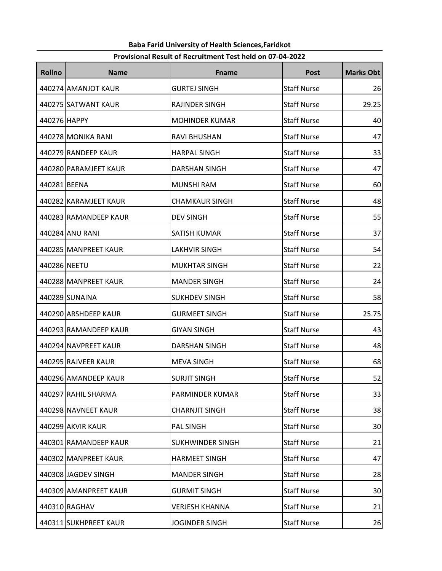# Rollno | Name | Fname | Post | Marks Obt 440274 AMANJOT KAUR
SALL GURTEJ SINGH
Staff Nurse
Staff Nurse
Staff Nurse
Staff Nurse 440275 SATWANT KAUR RAJINDER SINGH Staff Nurse 29.25 440276 HAPPY MOHINDER KUMAR Staff Nurse 20 Staff Nurse 20 440278 MONIKA RANI RAVI BHUSHAN Staff Nurse 47 440279 RANDEEP KAUR HARPAL SINGH Staff Nurse 33 440280 PARAMJEET KAUR DARSHAN SINGH Staff Nurse 47 440281 BEENA MUNSHI RAM Staff Nurse 60 440282 KARAMJEET KAUR CHAMKAUR SINGH STAFF Staff Nurse 1 48 440283 RAMANDEEP KAUR DEV SINGH STATES STAFF Nurse 255 440284 ANU RANI SATISH KUMAR Staff Nurse 37 440285 MANPREET KAUR LAKHVIR SINGH STATES SAFI Nurse Later S4 440286 NEETU MUKHTAR SINGH Staff Nurse 22 440288 MANPREET KAUR MANDER SINGH STATES STAFF Nurse 24 440289 SUNAINA SUKHDEV SINGH Staff Nurse 58 440290 ARSHDEEP KAUR GURMEET SINGH STAFF Staff Nurse 25.75 440293 RAMANDEEP KAUR GIYAN SINGH STATES STAFF Nurse A3 440294 NAVPREET KAUR DARSHAN SINGH Staff Nurse 48 440295 RAJVEER KAUR MEVA SINGH STATES STAFF NURSE SANGH 440296 AMANDEEP KAUR SURJIT SINGH Staff Nurse 52 440297 RAHIL SHARMA PARMINDER KUMAR Staff Nurse | 33 440298 NAVNEET KAUR CHARNJIT SINGH Staff Nurse 38 440299 AKVIR KAUR PAL SINGH Staff Nurse 30 440301 RAMANDEEP KAUR SUKHWINDER SINGH STAFF Nurse Staff Nurse 1 440302 MANPREET KAUR HARMEET SINGH STAFF STAFF Nurse AT 47 440308 JAGDEV SINGH MANDER SINGH STATES SINGH STAFF Nurse 28 440309 AMANPREET KAUR GURMIT SINGH STATES STAFF Nurse The STAGE STATES SO 440310 RAGHAV VERJESH KHANNA Staff Nurse 21 440311 SUKHPREET KAUR JOGINDER SINGH STAFF Staff Nurse 1 36

### Baba Farid University of Health Sciences,Faridkot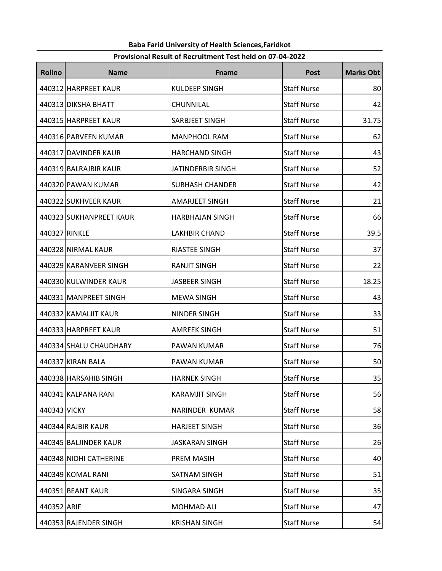| Rollno       | <b>Name</b>             | <b>Fname</b>             | <b>Post</b>        | <b>Marks Obt</b> |
|--------------|-------------------------|--------------------------|--------------------|------------------|
|              | 440312 HARPREET KAUR    | <b>KULDEEP SINGH</b>     | <b>Staff Nurse</b> | 80               |
|              | 440313 DIKSHA BHATT     | CHUNNILAL                | <b>Staff Nurse</b> | 42               |
|              | 440315 HARPREET KAUR    | SARBJEET SINGH           | <b>Staff Nurse</b> | 31.75            |
|              | 440316 PARVEEN KUMAR    | <b>MANPHOOL RAM</b>      | <b>Staff Nurse</b> | 62               |
|              | 440317 DAVINDER KAUR    | <b>HARCHAND SINGH</b>    | <b>Staff Nurse</b> | 43               |
|              | 440319 BALRAJBIR KAUR   | <b>JATINDERBIR SINGH</b> | <b>Staff Nurse</b> | 52               |
|              | 440320 PAWAN KUMAR      | <b>SUBHASH CHANDER</b>   | <b>Staff Nurse</b> | 42               |
|              | 440322 SUKHVEER KAUR    | <b>AMARJEET SINGH</b>    | <b>Staff Nurse</b> | 21               |
|              | 440323 SUKHANPREET KAUR | <b>HARBHAJAN SINGH</b>   | <b>Staff Nurse</b> | 66               |
|              | 440327 RINKLE           | <b>LAKHBIR CHAND</b>     | <b>Staff Nurse</b> | 39.5             |
|              | 440328 NIRMAL KAUR      | <b>RIASTEE SINGH</b>     | <b>Staff Nurse</b> | 37               |
|              | 440329 KARANVEER SINGH  | <b>RANJIT SINGH</b>      | <b>Staff Nurse</b> | 22               |
|              | 440330 KULWINDER KAUR   | <b>JASBEER SINGH</b>     | <b>Staff Nurse</b> | 18.25            |
|              | 440331 MANPREET SINGH   | <b>MEWA SINGH</b>        | <b>Staff Nurse</b> | 43               |
|              | 440332 KAMALJIT KAUR    | <b>NINDER SINGH</b>      | <b>Staff Nurse</b> | 33               |
|              | 440333 HARPREET KAUR    | <b>AMREEK SINGH</b>      | <b>Staff Nurse</b> | 51               |
|              | 440334 SHALU CHAUDHARY  | PAWAN KUMAR              | <b>Staff Nurse</b> | 76               |
|              | 440337 KIRAN BALA       | PAWAN KUMAR              | <b>Staff Nurse</b> | 50               |
|              | 440338 HARSAHIB SINGH   | <b>HARNEK SINGH</b>      | <b>Staff Nurse</b> | 35               |
|              | 440341 KALPANA RANI     | <b>KARAMJIT SINGH</b>    | <b>Staff Nurse</b> | 56               |
| 440343 VICKY |                         | NARINDER KUMAR           | <b>Staff Nurse</b> | 58               |
|              | 440344 RAJBIR KAUR      | <b>HARJEET SINGH</b>     | <b>Staff Nurse</b> | 36               |
|              | 440345 BALJINDER KAUR   | <b>JASKARAN SINGH</b>    | <b>Staff Nurse</b> | 26               |
|              | 440348 NIDHI CATHERINE  | PREM MASIH               | <b>Staff Nurse</b> | 40               |
|              | 440349 KOMAL RANI       | <b>SATNAM SINGH</b>      | <b>Staff Nurse</b> | 51               |
|              | 440351 BEANT KAUR       | SINGARA SINGH            | <b>Staff Nurse</b> | 35               |
| 440352 ARIF  |                         | MOHMAD ALI               | <b>Staff Nurse</b> | 47               |
|              | 440353 RAJENDER SINGH   | <b>KRISHAN SINGH</b>     | <b>Staff Nurse</b> | 54               |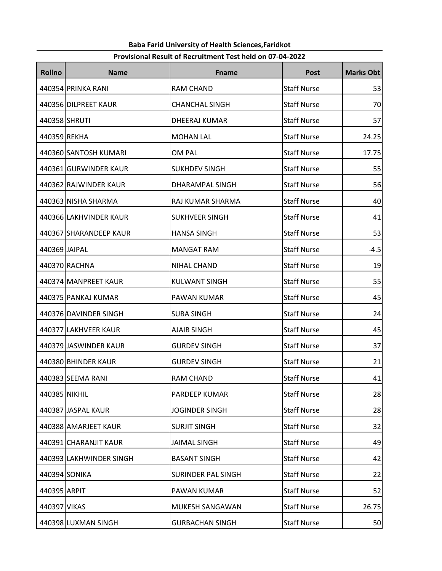# Rollno | Name | Fname | Post | Marks Obt 440354 PRINKA RANI RAMI RAM CHAND Staff Nurse Nurse S3 440356 DILPREET KAUR CHANCHAL SINGH Staff Nurse 70 440358 SHRUTI DHEERAJ KUMAR Staff Nurse 57 440359 REKHA MOHAN LAL Staff Nurse 24.25 440360 SANTOSH KUMARI (OM PAL CHEROLD STAFf Nurse 27.75 440361 GURWINDER KAUR SUKHDEV SINGH STATE STAFF Nurse STATES INGLES 440362 RAJWINDER KAUR DHARAMPAL SINGH Staff Nurse 56 440363 NISHA SHARMA RAJ KUMAR SHARMA RAJ KUMAR SHARMA SHAFMUSHARMA SHARMA SHARMA SHARMA RAJ SHARMA SHARMA SHARMA 440366 LAKHVINDER KAUR SUKHVEER SINGH STAFF STAFF STAFF STAFF STAFF STAFF STAFF STAFF STAFF STAFF STAFF STAFF S 440367 SHARANDEEP KAUR HANSA SINGH STATES STAFF NURSE STATES STATES IN STATES STA 440369 JAIPAL MANGAT RAM Staff Nurse 2.5 440370 RACHNA NIHAL CHAND Staff Nurse 29 440374 MANPREET KAUR KULWANT SINGH Staff Nurse | 55 440375 PANKAJ KUMAR PAWAN KUMAR STATE STAFF NURSE STATE ASSAULT ASSAULT ASSAULT A 440376 DAVINDER SINGH SUBA SINGH SUBA SINGH STAFF Nurse Staff Nurse Staff Nurse States I 440377 LAKHVEER KAUR AJAIB SINGH SINGH STAFF STAFF STAFF STAFF STAFF STAFF AT ASSAUR 440379 JASWINDER KAUR GURDEV SINGH Staff Nurse 37 440380 BHINDER KAUR GURDEV SINGH Staff Nurse 21 440383 SEEMA RANI RAM CHAND Staff Nurse 41 440385 NIKHIL PARDEEP KUMAR Staff Nurse 28 440387 JASPAL KAUR JOGINDER SINGH Staff Nurse 28 440388 AMARJEET KAUR SURJIT SINGH SURJIT SINGH STAFF Nurse 1 32 440391 CHARANJIT KAUR JAIMAL SINGH Staff Nurse 49 440393 LAKHWINDER SINGH BASANT SINGH STATES SINGH STAFF Nurse A2 440394 SONIKA SURINDER PAL SINGH Staff Nurse 22 440395 ARPIT THE PAWAN KUMAR STATE SERVICES AND STATE SERVICES AND STATE STATE STATE STATE STATE STA 440397 VIKAS MUKESH SANGAWAN Staff Nurse 26.75 440398 LUXMAN SINGH GURBACHAN SINGH Staff Nurse 1 50

### Baba Farid University of Health Sciences,Faridkot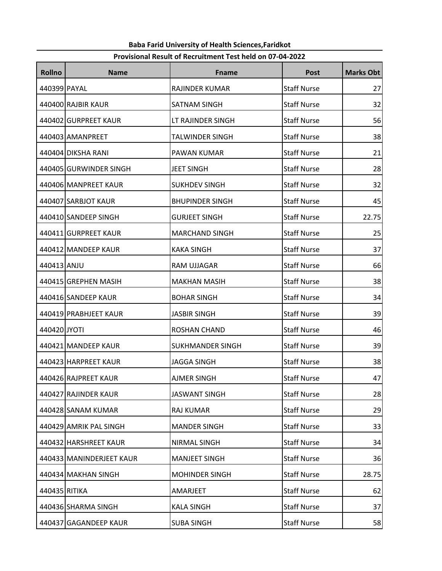# Rollno | Name | Fname | Post | Marks Obt 440399 PAYAL RAJINDER KUMAR Staff Nurse 1997 27 440400 RAJBIR KAUR SATNAM SINGH Staff Nurse 32 440402 GURPREET KAUR LT RAJINDER SINGH Staff Nurse Radio Staff State State State State State State St 440403 AMANPREET THE TALWINDER SINGH STAFF STAFF STAFF STATES STATES STATES STATES IN STATES STATES STATES STA 440404 DIKSHA RANI PAWAN KUMAR Staff Nurse 21 440405 GURWINDER SINGH JEET SINGH STATES ING HISTORIC STAFF NURSE SING HISTORIC STATES IN A LOST STA 440406 MANPREET KAUR SUKHDEV SINGH STATE STAFF Nurse National Staff Nurse National Staff Nurse National State S 440407 SARBJOT KAUR BHUPINDER SINGH STAFF Nurse 25 440410 SANDEEP SINGH GURJEET SINGH STAFF SINGH STAFF NURSE STATES SINGH 440411 GURPREET KAUR MARCHAND SINGH STAFF Staff Nurse Nurse 25 440412 MANDEEP KAUR KAKA SINGH Staff Nurse 37 440413 ANJU RAM UJJAGAR Staff Nurse 266 440415 GREPHEN MASIH MAKHAN MASIH Staff Nurse 28 440416 SANDEEP KAUR BOHAR SINGH Staff Nurse 34 440419 PRABHJEET KAUR JASBIR SINGH Staff Nurse 39 440420 JYOTI ROSHAN CHAND Staff Nurse 46 440421 MANDEEP KAUR SUKHMANDER SINGH Staff Nurse 39 440423 HARPREET KAUR JAGGA SINGH Staff Nurse 38 440426 RAJPREET KAUR AJMER SINGH Staff Nurse 47 440427 RAJINDER KAUR JASWANT SINGH Staff Nurse 28 440428 SANAM KUMAR RAJ KUMAR STATE STAFF Nurse 29 440429 AMRIK PAL SINGH MANDER SINGH STATES SINGH STATES STATES IN STATES IN STATES IN STATES IN STATES IN STAT 440432 HARSHREET KAUR NIRMAL SINGH STATE STAFF Nurse National Staff Nurse National State State State State St 440433 MANINDERJEET KAUR MANJEET SINGH STATE STAFF Nurse 1 36 440434 MAKHAN SINGH MOHINDER SINGH STATES SINGH 440435 RITIKA AMARJEET STATE STAFF AMARJEET STAFF AMARJEET STAFF AMARJEET STAFF AMARJEET STAFF AMARJEET STAFF AMARJEET STAFF AMARJEET STAFF AMARJEET AMARJEET AMARJEET AMARJEET AFT AMARJEET AFT AMARJEET AFT AMARJEET AFT AMA 440436 SHARMA SINGH KALA SINGH Staff Nurse 37 440437 GAGANDEEP KAUR SUBA SINGH SUBA SINGH STAFF STAFF STAGES STAGES STATES IN STATES STATES STATES STAGES ST

## Baba Farid University of Health Sciences,Faridkot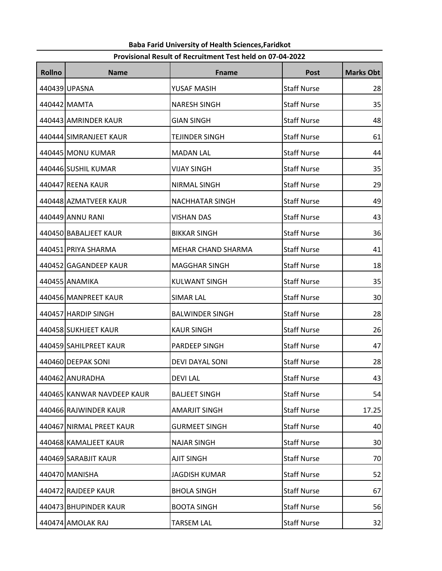# Rollno | Name | Fname | Post | Marks Obt 440439 UPASNA YUSAF MASIH Staff Nurse 28 440442 MAMTA NARESH SINGH Staff Nurse 35 440443 AMRINDER KAUR GIAN SINGH STATES STAFF Nurse 1 48 440444 SIMRANJEET KAUR TEJINDER SINGH STAFF STAFF Nurse Terminal Staff Nurse Terminal Staff Nurse S1 440445 MONU KUMAR MADAN LAL NEW STAFF Nurse NStaff Nurse Nurse 244 440446 SUSHIL KUMAR VIJAY SINGH Staff Nurse 35 440447 REENA KAUR NIRMAL SINGH SINGH Staff Nurse 29 440448 AZMATVEER KAUR NACHHATAR SINGH STAFF STAff Nurse 29 440449 ANNU RANI VISHAN DAS Staff Nurse 43 440450 BABALJEET KAUR BIKKAR SINGH Staff Nurse 36 440451 PRIYA SHARMA MEHAR CHAND SHARMA Staff Nurse 1 41 440452 GAGANDEEP KAUR MAGGHAR SINGH STAGHAR SINGH 440455 ANAMIKA KULWANT SINGH STAFF Nurse 25 440456 MANPREET KAUR SIMAR LAL SIMAR LAL STAFf Nurse Nurse 30 440457 HARDIP SINGH BALWINDER SINGH STATES STAFF Nurse 28 440458 SUKHJEET KAUR KAUR SINGH Staff Nurse 26 440459 SAHILPREET KAUR PARDEEP SINGH STATES STAFF Nurse 27 440460 DEEPAK SONI DEVI DAYAL SONI Staff Nurse 28 440462 ANURADHA DEVI LAL Staff Nurse 43 440465 KANWAR NAVDEEP KAUR BALJEET SINGH STATES STAFF Nurse The STATES STATES IN STATES IN STATES STA 440466 RAJWINDER KAUR AMARJIT SINGH Staff Nurse 17.25 440467 NIRMAL PREET KAUR GURMEET SINGH STAFF NURSE STAFF STAGE AT STAFF AND 40 440468 KAMALJEET KAUR NAJAR SINGH STATES STAFF NURSE STATES SOLUTION STATES IN STATES SOLUTION STATES SOLUTION 440469 SARABJIT KAUR AJIT SINGH Staff Nurse 70 440470 MANISHA JAGDISH KUMAR Staff Nurse 52 440472 RAJDEEP KAUR BHOLA SINGH Staff Nurse 67 440473 BHUPINDER KAUR BOOTA SINGH STATES STAFF Nurse ATT STATES IN STATES IN STATES IN STATES IN STA 440474 AMOLAK RAJ TARSEM LAL Staff Nurse 32

#### Baba Farid University of Health Sciences,Faridkot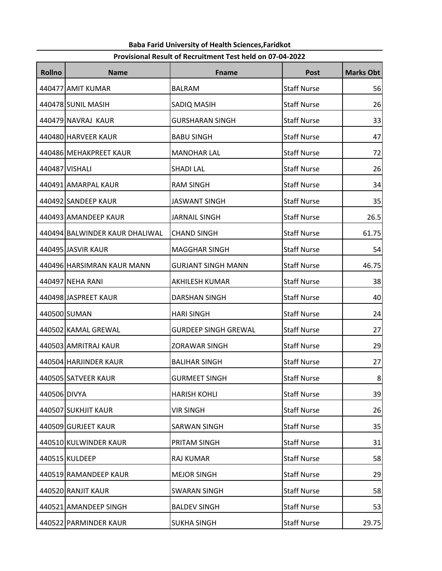# Rollno | Name | Fname | Post | Marks Obt 440477 AMIT KUMAR BALRAM STATE STATE STATE STATE STATE IN THE STATE STATE IS A STATE STATE STATE STA 440478 SUNIL MASIH SADIQ MASIH Staff Nurse 26 440479 NAVRAJ KAUR GURSHARAN SINGH Staff Nurse 33 440480 HARVEER KAUR BABU SINGH Staff Nurse 47 440486 MEHAKPREET KAUR MANOHAR LAL NEW STAff Nurse 1 32 440487 VISHALI SHADI LAL Staff Nurse 26 440491 AMARPAL KAUR RAM SINGH STATES STAFF Nurse RAM STAGE STATES IN STATES IN STATES IN STATES IN STATES IN S 440492 SANDEEP KAUR JASWANT SINGH Staff Nurse 35 440493 AMANDEEP KAUR JARNAIL SINGH STAFF STAff Nurse 26.5 440494 BALWINDER KAUR DHALIWAL CHAND SINGH STATES STAFF Nurse The 61.75 440495 JASVIR KAUR MAGGHAR SINGH Staff Nurse 54 440496 HARSIMRAN KAUR MANN GURJANT SINGH MANN Staff Nurse | 46.75 440497 NEHA RANI AKHILESH KUMAR Staff Nurse 38 440498 JASPREET KAUR DARSHAN SINGH Staff Nurse 40 440500 SUMAN HARI SINGH STATES STAFF Nurse 24 440502 KAMAL GREWAL GURDEEP SINGH GREWAL Staff Nurse 1 440503 AMRITRAJ KAUR ZORAWAR SINGH Staff Nurse 29 440504 HARJINDER KAUR BALIHAR SINGH Staff Nurse 27 440505 SATVEER KAUR GURMEET SINGH Staff Nurse 8 440506 DIVYA HARISH KOHLI Staff Nurse 39 440507 SUKHJIT KAUR VIR SINGH Staff Nurse 26 440509 GURJEET KAUR SARWAN SINGH Staff Nurse 35 440510 KULWINDER KAUR PRITAM SINGH STATE STAFF Nurse 1 31 440515 KULDEEP RAJ KUMAR STATES SERVES IN STATE SERVES IN STATE SERVES IN STATE STATES IN STATES SERVES IN STA 440519 RAMANDEEP KAUR MEJOR SINGH STATES STAFF Nurse 29 440520 RANJIT KAUR SWARAN SINGH STAFF STAFF STATES SAND STATES STATES IN STATES STATES STATES STATES TO A STAT 440521 AMANDEEP SINGH BALDEV SINGH STATES STAFF Nurse National Staff Nurse National Staff Nurse S3 440522 PARMINDER KAUR SUKHA SINGH STATE STAFF Nurse 29.75

### Baba Farid University of Health Sciences,Faridkot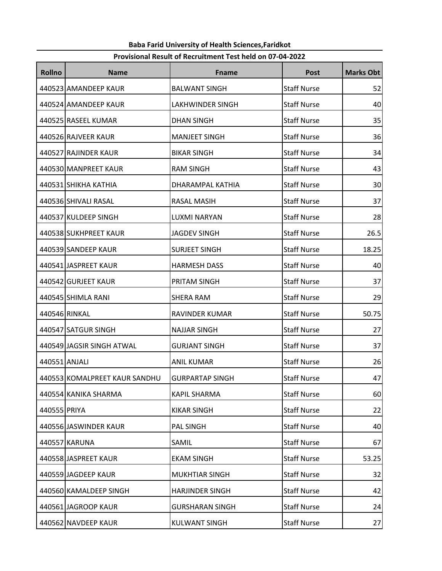# Rollno | Name | Fname | Post | Marks Obt 440523 AMANDEEP KAUR BALWANT SINGH STAFF STAFF Nurse | 52 440524 AMANDEEP KAUR LAKHWINDER SINGH Staff Nurse 40 440525 RASEEL KUMAR DHAN SINGH Staff Nurse 35 440526 RAJVEER KAUR MANJEET SINGH STATES STAFF Nurse National Staff Nurse National Staff Nurse National St 440527 RAJINDER KAUR BIKAR SINGH STATES STAFF Nurse National Staff Nurse States in the States of Sta 440530 MANPREET KAUR RAM SINGH STATES STAFF NURSE STATES AND STATE THAT ASSEMBLY A STATE AND RESERVE THAT ASSEM 440531 SHIKHA KATHIA DHARAMPAL KATHIA Staff Nurse 30 440536 SHIVALI RASAL RASAL MASIH Staff Nurse 37 440537 KULDEEP SINGH LUXMI NARYAN Staff Nurse 28 440538 SUKHPREET KAUR JAGDEV SINGH Staff Nurse 26.5 440539 SANDEEP KAUR SURJEET SINGH STAFF STAFF SINGH 440541 JASPREET KAUR **HARMESH DASS** Staff Nurse 20 440542 GURJEET KAUR PRITAM SINGH Staff Nurse 37 440545 SHIMLA RANI SHERA RAM Staff Nurse 29 440546 RINKAL RAVINDER KUMAR Staff Nurse 50.75 440547 SATGUR SINGH NAJJAR SINGH STATES STAFF Nurse 27 440549 JAGSIR SINGH ATWAL GURJANT SINGH Staff Nurse 37 440551 ANJALI ANIL KUMAR STAFF NURSE STAFF NURSE NEWSLET AND A LOT AND A LOT ANIL KUMAR STAFF STAFF NURSE STAFF 440553 KOMALPREET KAUR SANDHU GURPARTAP SINGH Staff Nurse 47 440554 KANIKA SHARMA KAPIL SHARMA Staff Nurse 60 440555 PRIYA KIKAR SINGH Staff Nurse 22 440556 JASWINDER KAUR PAL SINGH Staff Nurse 40 440557 KARUNA SAMIL Staff Nurse 67

440558 JASPREET KAUR EKAM SINGH Staff Nurse 53.25

440559 JAGDEEP KAUR MUKHTIAR SINGH STAFF STAff Nurse National ASS 32

440560 KAMALDEEP SINGH HARJINDER SINGH STAFF SINGH STAFF STAFF STAFF STAFF STAFF STAFF AT STAFF AT A

440561 JAGROOP KAUR GURSHARAN SINGH Staff Nurse 24

440562 NAVDEEP KAUR KULWANT SINGH Staff Nurse 27

## Baba Farid University of Health Sciences,Faridkot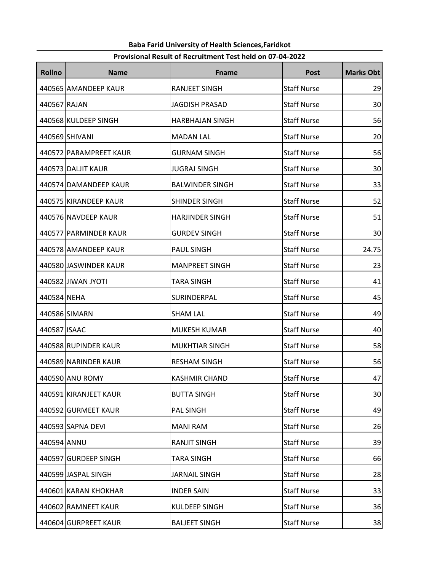# Rollno | Name | Fname | Post | Marks Obt 440565 AMANDEEP KAUR RANJEET SINGH STAFF STAFF Nurse RANJEET SINGH 440567 RAJAN JAGDISH PRASAD Staff Nurse 30 440568 KULDEEP SINGH HARBHAJAN SINGH Staff Nurse 56 440569 SHIVANI MADAN LAL Staff Nurse 20 440572 PARAMPREET KAUR GURNAM SINGH STAFF STAFF Nurse The STAGGE STAGE STAGE 440573 DALJIT KAUR JUGRAJ SINGH Staff Nurse 30 440574 DAMANDEEP KAUR BALWINDER SINGH STAFF Nurse Radio 33 440575 KIRANDEEP KAUR SHINDER SINGH STATES STAFF Nurse S2 440576 NAVDEEP KAUR **HARJINDER SINGH** Staff Nurse S1 440577 PARMINDER KAUR GURDEV SINGH STAFF STAff Nurse Theory 30 440578 AMANDEEP KAUR PAUL SINGH STATES STAFF Nurse 24.75 440580 JASWINDER KAUR MANPREET SINGH Staff Nurse 23 440582 JIWAN JYOTI TARA SINGH Staff Nurse 41 440584 NEHA SURINDERPAL Staff Nurse 45 440586 SIMARN SHAM LAL SHAM LAL Staff Nurse 29 440587 ISAAC MUKESH KUMAR Staff Nurse 40 440588 RUPINDER KAUR MUKHTIAR SINGH STAFF STAff Nurse Nurse S8 440589 NARINDER KAUR RESHAM SINGH STAFF STAff Nurse Reserved In State State State State State State State State Sta 440590 ANU ROMY KASHMIR CHAND Staff Nurse 47 440591 KIRANJEET KAUR BUTTA SINGH STATES STAFF Nurse RESERVED ASSAULT AT A SINGH 440592 GURMEET KAUR PAL SINGH STATES STAFF Nurse 29 440593 SAPNA DEVI MANI RAM Staff Nurse 26 440594 ANNU RANJIT SINGH STAFF RANJIT SINGH STAFF RANJIT SING H 440597 GURDEEP SINGH TARA SINGH STATES ING STAFF Nurse Theory Staff Nurse Nurse Staff Nurse States I 440599 JASPAL SINGH JARNAIL SINGH Staff Nurse 28 440601 KARAN KHOKHAR **INDER SAIN STAFF SAIN** Staff Nurse Nurse 33 440602 RAMNEET KAUR KULDEEP SINGH Staff Nurse 36 440604 GURPREET KAUR BALJEET SINGH STAFF STAFF SING STAFF STAFF STAFF STAFF STAFF STAFF STAFF STAFF STAFF STAFF STAFF STAFF STAFF STAFF STAFF STAFF STAFF STAFF STAFF STAFF STAFF STAFF STAFF STAFF STAFF STAFF STAFF STAFF ST

### Baba Farid University of Health Sciences,Faridkot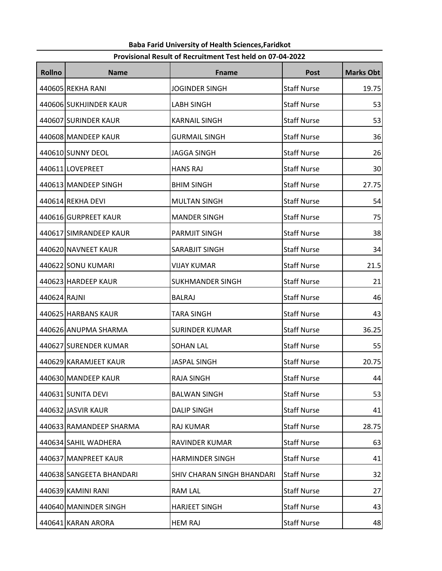# Rollno | Name | Fname | Post | Marks Obt 440605 REKHA RANI JOGINDER SINGH Staff Nurse 19.75 440606 SUKHJINDER KAUR LABH SINGH Staff Nurse 53 440607 SURINDER KAUR KAMAIL SINGH STATES STAFF NURSE STATES STATES IN STATES STATES STATES STATES ST 440608 MANDEEP KAUR GURMAIL SINGH Staff Nurse 36 440610 SUNNY DEOL JAGGA SINGH Staff Nurse 26 440611 LOVEPREET HANS RAJ Staff Nurse 30 440613 MANDEEP SINGH BHIM SINGH STAGH STAFF Nurse 27.75 440614 REKHA DEVI MULTAN SINGH Staff Nurse 54 440616 GURPREET KAUR MANDER SINGH STATE STAFF Nurse National MANDER SINGH 440617 SIMRANDEEP KAUR PARMJIT SINGH STAFF STAFF Nurse 1 38 440620 NAVNEET KAUR SARABJIT SINGH SARABJIT SING STAFF Nurse 24 440622 SONU KUMARI VIJAY KUMAR Staff Nurse 21.5 440623 HARDEEP KAUR SUKHMANDER SINGH STAFF Nurse Staff Nurse Nurse 21 440624 RAJNI BALRAJ Staff Nurse 46 440625 HARBANS KAUR TARA SINGH Staff Nurse 43 440626 ANUPMA SHARMA SHARMA SHARMA SHARMA SHARMA SHARMA SHARMA SHARMA SHARMA SHARMA SHARMA SHARMA SH 440627 SURENDER KUMAR SOHAN LAL SOHAN LAL STAFF Nurse SS 440629 KARAMJEET KAUR JASPAL SINGH Staff Nurse 20.75 440630 MANDEEP KAUR RAJA SINGH Staff Nurse 44 440631 SUNITA DEVI BALWAN SINGH Staff Nurse 53 440632 JASVIR KAUR DALIP SINGH Staff Nurse 41 440633 RAMANDEEP SHARMA RAJ KUMAR RAJ STAFF Nurse 28.75 440634 SAHIL WADHERA RAVINDER KUMAR Staff Nurse Ravin Staff Nurse Radio States (S 440637 MANPREET KAUR HARMINDER SINGH STAFF STAFF Nurse A1 41 440638 SANGEETA BHANDARI SHIV CHARAN SINGH BHANDARI Staff Nurse | 32 440639 KAMINI RANI RAMINI RAM LAL RAM LAL STAFF Nurse 27 440640 MANINDER SINGH HARJEET SINGH STATES SING STAFF Nurse A3 440641 KARAN ARORA HEM RAJ Staff Nurse 48

### Baba Farid University of Health Sciences,Faridkot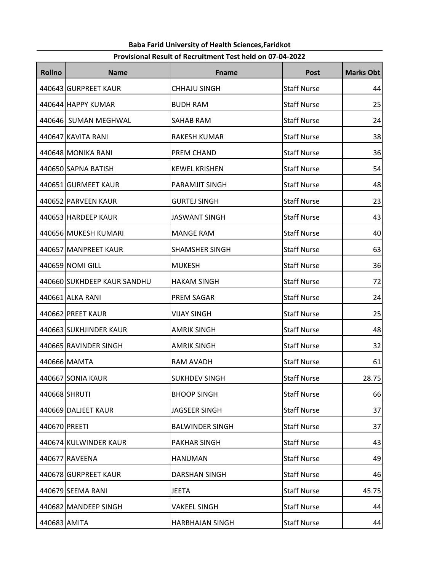## Rollno | Name | Fname | Post | Marks Obt 440643 GURPREET KAUR CHHAJU SINGH Staff Nurse 44 440644 HAPPY KUMAR BUDH RAM Staff Nurse 25 440646 SUMAN MEGHWAL SAHAB RAM STATE STAFF Nurse 24 440647 KAVITA RANI RAKESH KUMAR Staff Nurse 38 440648 MONIKA RANI PREM CHAND Staff Nurse 36 440650 SAPNA BATISH KEWEL KRISHEN STATES SAHA SADA SAHA SAHA SHARISHEN SHANGSO SA 440651 GURMEET KAUR PARAMJIT SINGH Staff Nurse 48 440652 PARVEEN KAUR GURTEJ SINGH Staff Nurse 23 440653 HARDEEP KAUR JASWANT SINGH Staff Nurse 43 440656 MUKESH KUMARI MANGE RAM Staff Nurse Ram Staff Nurse Nurse All 440657 MANPREET KAUR SHAMSHER SINGH STAFF SINGH STAFF NURSE SINGH 440659 NOMI GILL MUKESH Staff Nurse 36 440660 SUKHDEEP KAUR SANDHU | HAKAM SINGH STAGH | Staff Nurse | 72 440661 ALKA RANI PREM SAGAR Staff Nurse 24 440662 PREET KAUR VIJAY SINGH Staff Nurse 25 440663 SUKHJINDER KAUR AMRIK SINGH STATE STAFF Nurse ASSESSINGH 440665 RAVINDER SINGH AMRIK SINGH STATES ING STAFF RESERVENCES AND RESERVENCES AND RESERVENCES 440666 MAMTA RAM AVADH Staff Nurse Nurse 161 440667 SONIA KAUR | SUKHDEV SINGH | Staff Nurse | 28.75 440668 SHRUTI BHOOP SINGH Staff Nurse 66 440669 DALJEET KAUR JAGSEER SINGH Staff Nurse 37 440670 PREETI BALWINDER SINGH Staff Nurse 37 440674 KULWINDER KAUR PAKHAR SINGH STATE STAFF Nurse 23 440677 RAVEENA HANUMAN Staff Nurse 49 440678 GURPREET KAUR DARSHAN SINGH Staff Nurse 46 440679 SEEMA RANI JEETA Staff Nurse 45.75 440682 MANDEEP SINGH VAKEEL SINGH STATES STAFF Nurse A4 440683 AMITA HARBHAJAN SINGH Staff Nurse 44

### Baba Farid University of Health Sciences,Faridkot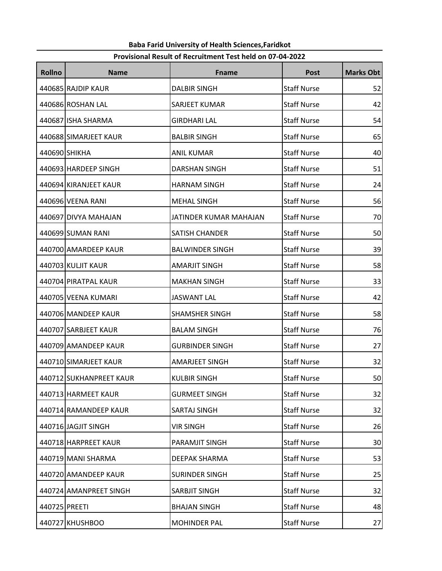# Rollno | Name | Fname | Post | Marks Obt 440685 RAJDIP KAUR DALBIR SINGH Staff Nurse 52 440686 ROSHAN LAL SARJEET KUMAR Staff Nurse 42 440687 ISHA SHARMA GIRDHARI LAL Staff Nurse 54 440688 SIMARJEET KAUR BALBIR SINGH STATES STAFF Nurse ASSESSION STATES IN STATES IN STATES IN STATES IN STATES 440690 SHIKHA ANIL KUMAR Staff Nurse 2016 | MANIL KUMAR Staff Nurse 2016 440693 HARDEEP SINGH DARSHAN SINGH Staff Nurse 51 440694 KIRANJEET KAUR HARNAM SINGH Staff Nurse 24 440696 VEENA RANI MEHAL SINGH Staff Nurse 56 440697 DIVYA MAHAJAN JJATINDER KUMAR MAHAJAN Staff Nurse 70 440699 SUMAN RANI SATISH CHANDER Staff Nurse 50 440700 AMARDEEP KAUR BALWINDER SINGH STAFF STAFF Nurse 1 39 440703 KULJIT KAUR AMARJIT SINGH SINGH Staff Nurse 258 440704 PIRATPAL KAUR MAKHAN SINGH STAFF STAff Nurse Nurse 33 440705 VEENA KUMARI JASWANT LAL Staff Nurse 42 440706 MANDEEP KAUR SHAMSHER SINGH STAFF SINGH STAFF SINGH 440707 SARBJEET KAUR BALAM SINGH Staff Nurse 76 440709 AMANDEEP KAUR GURBINDER SINGH STAFF STAFF Nurse Theory 27 440710 SIMARJEET KAUR AMARJEET SINGH STAFF NURSE STAFF SINGH STAFF STAFF STAFF STAFF STAFF STAFF STA 440712 SUKHANPREET KAUR KULBIR SINGH STATES SO 440713 HARMEET KAUR GURMEET SINGH Staff Nurse 1 32 440714 RAMANDEEP KAUR SARTAJ SINGH SARTAJ SING STAFF Nurse | 32 440716 JAGJIT SINGH VIR SINGH Staff Nurse 26 440718 HARPREET KAUR | PARAMJIT SINGH | Staff Nurse | 30 440719 MANI SHARMA DEEPAK SHARMA Staff Nurse 53 440720 AMANDEEP KAUR SURINDER SINGH STATES STAFF Nurse 25 440724 AMANPREET SINGH SARBJIT SINGH STATES STAFF Nurse 1 32 440725 PREETI BHAJAN SINGH STAFF STAFF Nurse 248

440727 KHUSHBOO MOHINDER PAL Staff Nurse 27

### Baba Farid University of Health Sciences,Faridkot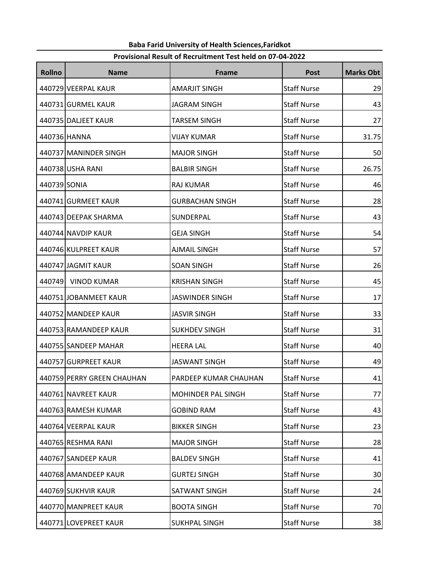# Rollno | Name | Fname | Post | Marks Obt 440729 VEERPAL KAUR AMARJIT SINGH Staff Nurse 29 440731 GURMEL KAUR JAGRAM SINGH Staff Nurse 43 440735 DALJEET KAUR TARSEM SINGH STATES STAFF Nurse 27 440736 HANNA VIJAY KUMAR Staff Nurse 31.75 440737 MANINDER SINGH MAJOR SINGH STATES SING STAFF Nurse 1 50 440738 USHA RANI BALBIR SINGH Staff Nurse 26.75 440739 SONIA RAJ KUMAR STATE STAFF Nurse | 46 440741 GURMEET KAUR GURBACHAN SINGH Staff Nurse | 28 440743 DEEPAK SHARMA SUNDERPAL SUNDERPAL Staff Nurse 23 440744 NAVDIP KAUR GEJA SINGH Staff Nurse 54 440746 KULPREET KAUR AJMAIL SINGH Staff Nurse 57 440747 JAGMIT KAUR SOAN SINGH STATES STAFF Nurse 26 440749 VINOD KUMAR KRISHAN SINGH STAFF Staff Nurse | 45 440751 JOBANMEET KAUR JASWINDER SINGH Staff Nurse 17 440752 MANDEEP KAUR JASVIR SINGH Staff Nurse 33 440753 RAMANDEEP KAUR SUKHDEV SINGH STAFF STAff Nurse Nurse 31 440755 SANDEEP MAHAR **HEERA LAL STAFF STAFF STAFF AND STAFF AND HEERA LAL** STAFF STAFF STAFF AND 40 440757 GURPREET KAUR JASWANT SINGH Staff Nurse 49 440759 PERRY GREEN CHAUHAN PARDEEP KUMAR CHAUHAN Staff Nurse Theory 41 440761 NAVREET KAUR MOHINDER PAL SINGH STAFF Nurse Staff Nurse Navy 177 440763 RAMESH KUMAR (GOBIND RAM Staff Nurse 143 440764 VEERPAL KAUR BIKKER SINGH STATES STAFF Nurse 23 440765 RESHMA RANI MAJOR SINGH Staff Nurse 28 440767 SANDEEP KAUR BALDEV SINGH STATES STAFF Nurse AT 41 440768 AMANDEEP KAUR GURTEJ SINGH STAFF STAFF Nurse ATT STATE STATE STATE SING H 440769 SUKHVIR KAUR SATWANT SINGH Staff Nurse 24 440770 MANPREET KAUR BOOTA SINGH STATES STAFF Nurse RESERVED TO 440771 LOVEPREET KAUR SUKHPAL SINGH STATE STAFF Nurse STAGE STATE STATE STATE STA

### Baba Farid University of Health Sciences,Faridkot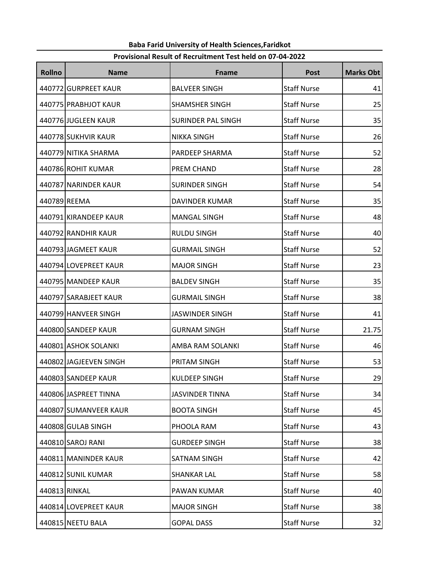| Provisional Result of Recruitment Test held on 07-04-2022 |  |
|-----------------------------------------------------------|--|
|-----------------------------------------------------------|--|

| <b>Rollno</b> | <b>Name</b>            | <b>Fname</b>              | <b>Post</b>        | <b>Marks Obt</b> |
|---------------|------------------------|---------------------------|--------------------|------------------|
|               | 440772 GURPREET KAUR   | <b>BALVEER SINGH</b>      | <b>Staff Nurse</b> | 41               |
|               | 440775 PRABHJOT KAUR   | <b>SHAMSHER SINGH</b>     | <b>Staff Nurse</b> | 25               |
|               | 440776 JUGLEEN KAUR    | <b>SURINDER PAL SINGH</b> | <b>Staff Nurse</b> | 35               |
|               | 440778 SUKHVIR KAUR    | <b>NIKKA SINGH</b>        | <b>Staff Nurse</b> | 26               |
|               | 440779 NITIKA SHARMA   | PARDEEP SHARMA            | <b>Staff Nurse</b> | 52               |
|               | 440786 ROHIT KUMAR     | PREM CHAND                | <b>Staff Nurse</b> | 28               |
|               | 440787 NARINDER KAUR   | <b>SURINDER SINGH</b>     | <b>Staff Nurse</b> | 54               |
|               | 440789 REEMA           | <b>DAVINDER KUMAR</b>     | <b>Staff Nurse</b> | 35               |
|               | 440791 KIRANDEEP KAUR  | <b>MANGAL SINGH</b>       | <b>Staff Nurse</b> | 48               |
|               | 440792 RANDHIR KAUR    | <b>RULDU SINGH</b>        | <b>Staff Nurse</b> | 40               |
|               | 440793 JAGMEET KAUR    | <b>GURMAIL SINGH</b>      | <b>Staff Nurse</b> | 52               |
|               | 440794 LOVEPREET KAUR  | <b>MAJOR SINGH</b>        | <b>Staff Nurse</b> | 23               |
|               | 440795 MANDEEP KAUR    | <b>BALDEV SINGH</b>       | <b>Staff Nurse</b> | 35               |
|               | 440797 SARABJEET KAUR  | <b>GURMAIL SINGH</b>      | <b>Staff Nurse</b> | 38               |
|               | 440799 HANVEER SINGH   | <b>JASWINDER SINGH</b>    | <b>Staff Nurse</b> | 41               |
|               | 440800 SANDEEP KAUR    | <b>GURNAM SINGH</b>       | <b>Staff Nurse</b> | 21.75            |
|               | 440801 ASHOK SOLANKI   | AMBA RAM SOLANKI          | <b>Staff Nurse</b> | 46               |
|               | 440802 JAGJEEVEN SINGH | PRITAM SINGH              | <b>Staff Nurse</b> | 53               |
|               | 440803 SANDEEP KAUR    | <b>KULDEEP SINGH</b>      | <b>Staff Nurse</b> | 29               |
|               | 440806 JASPREET TINNA  | <b>JASVINDER TINNA</b>    | <b>Staff Nurse</b> | 34               |
|               | 440807 SUMANVEER KAUR  | <b>BOOTA SINGH</b>        | <b>Staff Nurse</b> | 45               |
|               | 440808 GULAB SINGH     | PHOOLA RAM                | <b>Staff Nurse</b> | 43               |
|               | 440810 SAROJ RANI      | <b>GURDEEP SINGH</b>      | <b>Staff Nurse</b> | 38               |
|               | 440811 MANINDER KAUR   | SATNAM SINGH              | <b>Staff Nurse</b> | 42               |
|               | 440812 SUNIL KUMAR     | <b>SHANKAR LAL</b>        | <b>Staff Nurse</b> | 58               |
|               | 440813 RINKAL          | PAWAN KUMAR               | <b>Staff Nurse</b> | 40               |
|               | 440814 LOVEPREET KAUR  | <b>MAJOR SINGH</b>        | <b>Staff Nurse</b> | 38               |
|               | 440815 NEETU BALA      | <b>GOPAL DASS</b>         | <b>Staff Nurse</b> | 32               |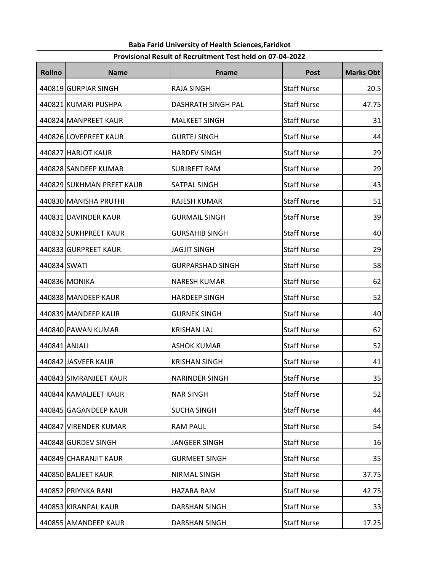| Rollno        | <b>Name</b>               | <b>Fname</b>              | <b>Post</b>        | <b>Marks Obt</b> |
|---------------|---------------------------|---------------------------|--------------------|------------------|
|               | 440819 GURPIAR SINGH      | <b>RAJA SINGH</b>         | <b>Staff Nurse</b> | 20.5             |
|               | 440821 KUMARI PUSHPA      | <b>DASHRATH SINGH PAL</b> | <b>Staff Nurse</b> | 47.75            |
|               | 440824 MANPREET KAUR      | <b>MALKEET SINGH</b>      | <b>Staff Nurse</b> | 31               |
|               | 440826 LOVEPREET KAUR     | <b>GURTEJ SINGH</b>       | <b>Staff Nurse</b> | 44               |
|               | 440827 HARJOT KAUR        | <b>HARDEV SINGH</b>       | <b>Staff Nurse</b> | 29               |
|               | 440828 SANDEEP KUMAR      | <b>SURJREET RAM</b>       | <b>Staff Nurse</b> | 29               |
|               | 440829 SUKHMAN PREET KAUR | SATPAL SINGH              | <b>Staff Nurse</b> | 43               |
|               | 440830 MANISHA PRUTHI     | <b>RAJESH KUMAR</b>       | <b>Staff Nurse</b> | 51               |
|               | 440831 DAVINDER KAUR      | <b>GURMAIL SINGH</b>      | <b>Staff Nurse</b> | 39               |
|               | 440832 SUKHPREET KAUR     | <b>GURSAHIB SINGH</b>     | <b>Staff Nurse</b> | 40               |
|               | 440833 GURPREET KAUR      | <b>JAGJIT SINGH</b>       | <b>Staff Nurse</b> | 29               |
| 440834 SWATI  |                           | <b>GURPARSHAD SINGH</b>   | <b>Staff Nurse</b> | 58               |
|               | 440836 MONIKA             | <b>NARESH KUMAR</b>       | <b>Staff Nurse</b> | 62               |
|               | 440838 MANDEEP KAUR       | <b>HARDEEP SINGH</b>      | <b>Staff Nurse</b> | 52               |
|               | 440839 MANDEEP KAUR       | <b>GURNEK SINGH</b>       | <b>Staff Nurse</b> | 40               |
|               | 440840 PAWAN KUMAR        | <b>KRISHAN LAL</b>        | <b>Staff Nurse</b> | 62               |
| 440841 ANJALI |                           | <b>ASHOK KUMAR</b>        | <b>Staff Nurse</b> | 52               |
|               | 440842 JASVEER KAUR       | <b>KRISHAN SINGH</b>      | <b>Staff Nurse</b> | 41               |
|               | 440843 SIMRANJEET KAUR    | <b>NARINDER SINGH</b>     | <b>Staff Nurse</b> | 35               |
|               | 440844 KAMALJEET KAUR     | <b>NAR SINGH</b>          | <b>Staff Nurse</b> | 52               |
|               | 440845 GAGANDEEP KAUR     | <b>SUCHA SINGH</b>        | <b>Staff Nurse</b> | 44               |
|               | 440847 VIRENDER KUMAR     | <b>RAM PAUL</b>           | <b>Staff Nurse</b> | 54               |
|               | 440848 GURDEV SINGH       | <b>JANGEER SINGH</b>      | <b>Staff Nurse</b> | 16               |
|               | 440849 CHARANJIT KAUR     | <b>GURMEET SINGH</b>      | <b>Staff Nurse</b> | 35               |
|               | 440850 BALJEET KAUR       | NIRMAL SINGH              | <b>Staff Nurse</b> | 37.75            |
|               | 440852 PRIYNKA RANI       | HAZARA RAM                | <b>Staff Nurse</b> | 42.75            |
|               | 440853 KIRANPAL KAUR      | <b>DARSHAN SINGH</b>      | <b>Staff Nurse</b> | 33               |
|               | 440855 AMANDEEP KAUR      | <b>DARSHAN SINGH</b>      | <b>Staff Nurse</b> | 17.25            |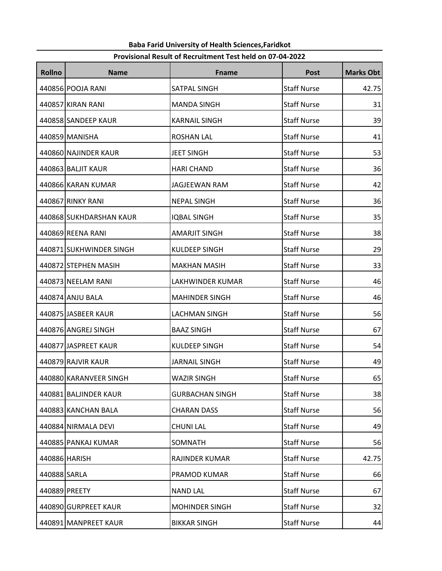| Rollno       | <b>Name</b>             | <b>Fname</b>           | <b>Post</b>        | <b>Marks Obt</b> |
|--------------|-------------------------|------------------------|--------------------|------------------|
|              | 440856 POOJA RANI       | SATPAL SINGH           | <b>Staff Nurse</b> | 42.75            |
|              | 440857 KIRAN RANI       | <b>MANDA SINGH</b>     | <b>Staff Nurse</b> | 31               |
|              | 440858 SANDEEP KAUR     | <b>KARNAIL SINGH</b>   | <b>Staff Nurse</b> | 39               |
|              | 440859 MANISHA          | <b>ROSHAN LAL</b>      | <b>Staff Nurse</b> | 41               |
|              | 440860 NAJINDER KAUR    | <b>JEET SINGH</b>      | <b>Staff Nurse</b> | 53               |
|              | 440863 BALJIT KAUR      | <b>HARI CHAND</b>      | <b>Staff Nurse</b> | 36               |
|              | 440866 KARAN KUMAR      | <b>JAGJEEWAN RAM</b>   | <b>Staff Nurse</b> | 42               |
|              | 440867 RINKY RANI       | <b>NEPAL SINGH</b>     | <b>Staff Nurse</b> | 36               |
|              | 440868 SUKHDARSHAN KAUR | <b>IQBAL SINGH</b>     | <b>Staff Nurse</b> | 35               |
|              | 440869 REENA RANI       | <b>AMARJIT SINGH</b>   | <b>Staff Nurse</b> | 38               |
|              | 440871 SUKHWINDER SINGH | <b>KULDEEP SINGH</b>   | <b>Staff Nurse</b> | 29               |
|              | 440872 STEPHEN MASIH    | <b>MAKHAN MASIH</b>    | <b>Staff Nurse</b> | 33               |
|              | 440873 NEELAM RANI      | LAKHWINDER KUMAR       | <b>Staff Nurse</b> | 46               |
|              | 440874 ANJU BALA        | <b>MAHINDER SINGH</b>  | <b>Staff Nurse</b> | 46               |
|              | 440875 JASBEER KAUR     | <b>LACHMAN SINGH</b>   | <b>Staff Nurse</b> | 56               |
|              | 440876 ANGREJ SINGH     | <b>BAAZ SINGH</b>      | <b>Staff Nurse</b> | 67               |
|              | 440877 JASPREET KAUR    | <b>KULDEEP SINGH</b>   | <b>Staff Nurse</b> | 54               |
|              | 440879 RAJVIR KAUR      | <b>JARNAIL SINGH</b>   | <b>Staff Nurse</b> | 49               |
|              | 440880 KARANVEER SINGH  | <b>WAZIR SINGH</b>     | <b>Staff Nurse</b> | 65               |
|              | 440881 BALJINDER KAUR   | <b>GURBACHAN SINGH</b> | <b>Staff Nurse</b> | 38               |
|              | 440883 KANCHAN BALA     | <b>CHARAN DASS</b>     | <b>Staff Nurse</b> | 56               |
|              | 440884 NIRMALA DEVI     | <b>CHUNI LAL</b>       | <b>Staff Nurse</b> | 49               |
|              | 440885 PANKAJ KUMAR     | SOMNATH                | <b>Staff Nurse</b> | 56               |
|              | 440886 HARISH           | RAJINDER KUMAR         | <b>Staff Nurse</b> | 42.75            |
| 440888 SARLA |                         | PRAMOD KUMAR           | <b>Staff Nurse</b> | 66               |
|              | 440889 PREETY           | <b>NAND LAL</b>        | <b>Staff Nurse</b> | 67               |
|              | 440890 GURPREET KAUR    | <b>MOHINDER SINGH</b>  | <b>Staff Nurse</b> | 32               |
|              | 440891 MANPREET KAUR    | <b>BIKKAR SINGH</b>    | <b>Staff Nurse</b> | 44               |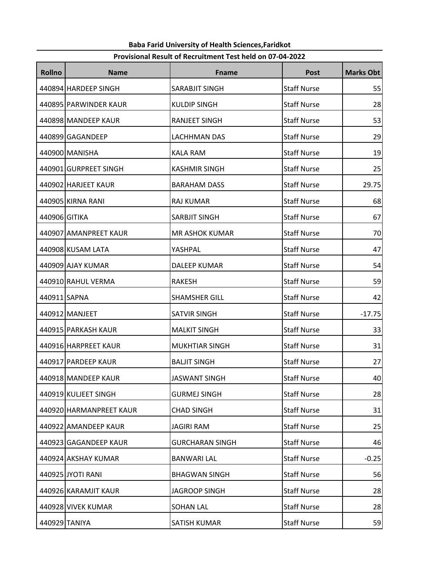## Baba Farid University of Health Sciences,Faridkot Provisional Result of Recruitment Test held on 07-04-2022

| <b>Rollno</b> | <b>Name</b>             | <b>Fname</b>           | <b>Post</b>        | <b>Marks Obt</b> |
|---------------|-------------------------|------------------------|--------------------|------------------|
|               | 440894 HARDEEP SINGH    | SARABJIT SINGH         | <b>Staff Nurse</b> | 55               |
|               | 440895 PARWINDER KAUR   | <b>KULDIP SINGH</b>    | <b>Staff Nurse</b> | 28               |
|               | 440898 MANDEEP KAUR     | RANJEET SINGH          | <b>Staff Nurse</b> | 53               |
|               | 440899 GAGANDEEP        | LACHHMAN DAS           | <b>Staff Nurse</b> | 29               |
|               | 440900 MANISHA          | <b>KALA RAM</b>        | <b>Staff Nurse</b> | 19               |
|               | 440901 GURPREET SINGH   | <b>KASHMIR SINGH</b>   | <b>Staff Nurse</b> | 25               |
|               | 440902 HARJEET KAUR     | <b>BARAHAM DASS</b>    | <b>Staff Nurse</b> | 29.75            |
|               | 440905 KIRNA RANI       | RAJ KUMAR              | <b>Staff Nurse</b> | 68               |
| 440906 GITIKA |                         | SARBJIT SINGH          | <b>Staff Nurse</b> | 67               |
|               | 440907 AMANPREET KAUR   | MR ASHOK KUMAR         | <b>Staff Nurse</b> | 70               |
|               | 440908 KUSAM LATA       | YASHPAL                | <b>Staff Nurse</b> | 47               |
|               | 440909 AJAY KUMAR       | <b>DALEEP KUMAR</b>    | <b>Staff Nurse</b> | 54               |
|               | 440910 RAHUL VERMA      | <b>RAKESH</b>          | <b>Staff Nurse</b> | 59               |
| 440911 SAPNA  |                         | SHAMSHER GILL          | <b>Staff Nurse</b> | 42               |
|               | 440912 MANJEET          | SATVIR SINGH           | <b>Staff Nurse</b> | $-17.75$         |
|               | 440915 PARKASH KAUR     | <b>MALKIT SINGH</b>    | <b>Staff Nurse</b> | 33               |
|               | 440916 HARPREET KAUR    | <b>MUKHTIAR SINGH</b>  | <b>Staff Nurse</b> | 31               |
|               | 440917 PARDEEP KAUR     | <b>BALJIT SINGH</b>    | <b>Staff Nurse</b> | 27               |
|               | 440918 MANDEEP KAUR     | JASWANT SINGH          | <b>Staff Nurse</b> | 40               |
|               | 440919 KULJEET SINGH    | <b>GURMEJ SINGH</b>    | <b>Staff Nurse</b> | 28               |
|               | 440920 HARMANPREET KAUR | <b>CHAD SINGH</b>      | <b>Staff Nurse</b> | 31               |
|               | 440922 AMANDEEP KAUR    | JAGIRI RAM             | <b>Staff Nurse</b> | 25               |
|               | 440923 GAGANDEEP KAUR   | <b>GURCHARAN SINGH</b> | <b>Staff Nurse</b> | 46               |
|               | 440924 AKSHAY KUMAR     | <b>BANWARI LAL</b>     | <b>Staff Nurse</b> | $-0.25$          |
|               | 440925 JYOTI RANI       | <b>BHAGWAN SINGH</b>   | <b>Staff Nurse</b> | 56               |
|               | 440926 KARAMJIT KAUR    | JAGROOP SINGH          | <b>Staff Nurse</b> | 28               |
|               | 440928 VIVEK KUMAR      | <b>SOHAN LAL</b>       | <b>Staff Nurse</b> | 28               |
|               | 440929 TANIYA           | SATISH KUMAR           | <b>Staff Nurse</b> | 59               |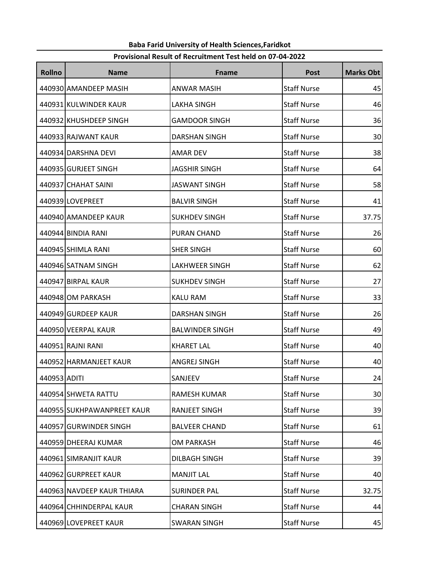## Rollno | Name | Fname | Post | Marks Obt Baba Farid University of Health Sciences,Faridkot Provisional Result of Recruitment Test held on 07-04-2022

| טוווטי       |                            |                        |                    |       |
|--------------|----------------------------|------------------------|--------------------|-------|
|              | 440930 AMANDEEP MASIH      | <b>ANWAR MASIH</b>     | <b>Staff Nurse</b> | 45    |
|              | 440931 KULWINDER KAUR      | <b>LAKHA SINGH</b>     | <b>Staff Nurse</b> | 46    |
|              | 440932 KHUSHDEEP SINGH     | <b>GAMDOOR SINGH</b>   | <b>Staff Nurse</b> | 36    |
|              | 440933 RAJWANT KAUR        | <b>DARSHAN SINGH</b>   | <b>Staff Nurse</b> | 30    |
|              | 440934 DARSHNA DEVI        | AMAR DEV               | <b>Staff Nurse</b> | 38    |
|              | 440935 GURJEET SINGH       | <b>JAGSHIR SINGH</b>   | <b>Staff Nurse</b> | 64    |
|              | 440937 CHAHAT SAINI        | <b>JASWANT SINGH</b>   | <b>Staff Nurse</b> | 58    |
|              | 440939 LOVEPREET           | <b>BALVIR SINGH</b>    | <b>Staff Nurse</b> | 41    |
|              | 440940 AMANDEEP KAUR       | <b>SUKHDEV SINGH</b>   | <b>Staff Nurse</b> | 37.75 |
|              | 440944 BINDIA RANI         | PURAN CHAND            | <b>Staff Nurse</b> | 26    |
|              | 440945 SHIMLA RANI         | <b>SHER SINGH</b>      | <b>Staff Nurse</b> | 60    |
|              | 440946 SATNAM SINGH        | <b>LAKHWEER SINGH</b>  | <b>Staff Nurse</b> | 62    |
|              | 440947 BIRPAL KAUR         | <b>SUKHDEV SINGH</b>   | <b>Staff Nurse</b> | 27    |
|              | 440948 OM PARKASH          | <b>KALU RAM</b>        | <b>Staff Nurse</b> | 33    |
|              | 440949 GURDEEP KAUR        | <b>DARSHAN SINGH</b>   | <b>Staff Nurse</b> | 26    |
|              | 440950 VEERPAL KAUR        | <b>BALWINDER SINGH</b> | <b>Staff Nurse</b> | 49    |
|              | 440951 RAJNI RANI          | <b>KHARET LAL</b>      | <b>Staff Nurse</b> | 40    |
|              | 440952 HARMANJEET KAUR     | ANGREJ SINGH           | <b>Staff Nurse</b> | 40    |
| 440953 ADITI |                            | SANJEEV                | <b>Staff Nurse</b> | 24    |
|              | 440954 SHWETA RATTU        | <b>RAMESH KUMAR</b>    | <b>Staff Nurse</b> | 30    |
|              | 440955 SUKHPAWANPREET KAUR | <b>RANJEET SINGH</b>   | <b>Staff Nurse</b> | 39    |
|              | 440957 GURWINDER SINGH     | <b>BALVEER CHAND</b>   | <b>Staff Nurse</b> | 61    |
|              | 440959 DHEERAJ KUMAR       | <b>OM PARKASH</b>      | <b>Staff Nurse</b> | 46    |
|              | 440961 SIMRANJIT KAUR      | <b>DILBAGH SINGH</b>   | <b>Staff Nurse</b> | 39    |
|              | 440962 GURPREET KAUR       | <b>MANJIT LAL</b>      | <b>Staff Nurse</b> | 40    |
|              | 440963 NAVDEEP KAUR THIARA | <b>SURINDER PAL</b>    | <b>Staff Nurse</b> | 32.75 |
|              | 440964 CHHINDERPAL KAUR    | <b>CHARAN SINGH</b>    | <b>Staff Nurse</b> | 44    |
|              | 440969 LOVEPREET KAUR      | <b>SWARAN SINGH</b>    | <b>Staff Nurse</b> | 45    |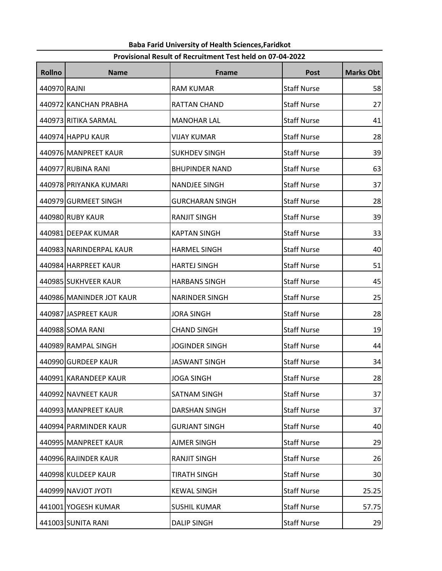# Rollno | Name | Fname | Post | Marks Obt 440970 RAJNI RAM KUMAR Staff Nurse 58 440972 KANCHAN PRABHA RATTAN CHAND Staff Nurse Rathan Ratha 27 440973 RITIKA SARMAL MANOHAR LAL STAFF Nurse 1 41 440974 HAPPU KAUR VIJAY KUMAR Staff Nurse 28 440976 MANPREET KAUR SUKHDEV SINGH SURGER STAFF Nurse ASSESSMENT RESOLUTION AND THE STATE STATES 440977 RUBINA RANI BHUPINDER NAND Staff Nurse 63 440978 PRIYANKA KUMARI NANDJEE SINGH STATE SINGH STAFF NURSE STAGE SINGH STAFF NURSE STATE STAGE STA 440979 GURMEET SINGH GURCHARAN SINGH Staff Nurse 28 440980 RUBY KAUR RANJIT SINGH Staff Nurse 39 440981 DEEPAK KUMAR KAPTAN SINGH STAGE STAFF Nurse National Staff Nurse National Staff Nurse State S 440983 NARINDERPAL KAUR HARMEL SINGH STAFF Staff Nurse 1 40 440984 HARPREET KAUR HARTEJ SINGH SINGH Staff Nurse | 51 440985 SUKHVEER KAUR HARBANS SINGH Staff Nurse 45 440986 MANINDER JOT KAUR NARINDER SINGH STAFF Nurse Narray 25 440987 JASPREET KAUR JORA SINGH Staff Nurse 28 440988 SOMA RANI CHAND SINGH Staff Nurse 19 440989 RAMPAL SINGH JOGINDER SINGH Staff Nurse 44 440990 GURDEEP KAUR JASWANT SINGH Staff Nurse 34 440991 KARANDEEP KAUR JOGA SINGH Staff Nurse 28 440992 NAVNEET KAUR SATNAM SINGH STATH STAFF Nurse STAT STATES IN STATE STATES IN STATES IN STATES ST 440993 MANPREET KAUR | DARSHAN SINGH | Staff Nurse | 37 440994 PARMINDER KAUR GURJANT SINGH STAFF STAFF Nurse A0 440995 MANPREET KAUR AJMER SINGH STATES STAFF Nurse ALSO STATES IN STATES IN STATES IN STATES IN STA 440996 RAJINDER KAUR RANJIT SINGH STATES STAFF Nurse RADING RAJING RAND RANJIT SINGH 440998 KULDEEP KAUR TIRATH SINGH SINGH STAFF Nurse National Staff Nurse National Staff Nurse National Staff Nurse S 440999 NAVJOT JYOTI KEWAL SINGH Staff Nurse 25.25 441001 YOGESH KUMAR SUSHIL KUMAR STATE STATE STATE STATE STATE STATE STATE STATE STATE STATE STATE STATE STATE 441003 SUNITA RANI DALIP SINGH Staff Nurse 29

### Baba Farid University of Health Sciences,Faridkot